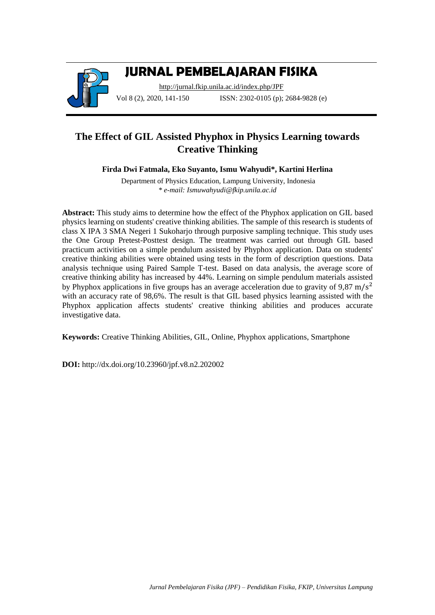

# **JURNAL PEMBELAJARAN FISIKA**

<http://jurnal.fkip.unila.ac.id/index.php/JPF> Vol 8 (2), 2020, 141-150 **ISSN:** 2302-0105 (p); 2684-9828 (e)

## **The Effect of GIL Assisted Phyphox in Physics Learning towards Creative Thinking**

**Firda Dwi Fatmala, Eko Suyanto, Ismu Wahyudi\*, Kartini Herlina**

Department of Physics Education, Lampung University, Indonesia *\* e-mail: Ismuwahyudi@fkip.unila.ac.id*

**Abstract:** This study aims to determine how the effect of the Phyphox application on GIL based physics learning on students' creative thinking abilities. The sample of this research is students of class X IPA 3 SMA Negeri 1 Sukoharjo through purposive sampling technique. This study uses the One Group Pretest-Posttest design. The treatment was carried out through GIL based practicum activities on a simple pendulum assisted by Phyphox application. Data on students' creative thinking abilities were obtained using tests in the form of description questions. Data analysis technique using Paired Sample T-test. Based on data analysis, the average score of creative thinking ability has increased by 44%. Learning on simple pendulum materials assisted by Phyphox applications in five groups has an average acceleration due to gravity of 9,87 m/s<sup>2</sup> with an accuracy rate of 98,6%. The result is that GIL based physics learning assisted with the Phyphox application affects students' creative thinking abilities and produces accurate investigative data.

**Keywords:** Creative Thinking Abilities, GIL, Online, Phyphox applications, Smartphone

**DOI:** http://dx.doi.org/10.23960/jpf.v8.n2.202002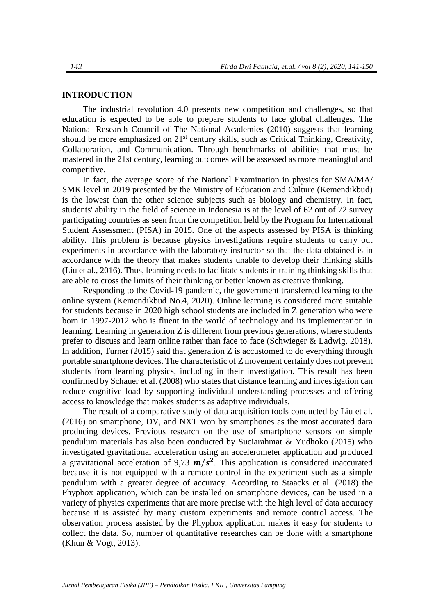#### **INTRODUCTION**

The industrial revolution 4.0 presents new competition and challenges, so that education is expected to be able to prepare students to face global challenges. The National Research Council of The National Academies (2010) suggests that learning should be more emphasized on 21<sup>st</sup> century skills, such as Critical Thinking, Creativity, Collaboration, and Communication. Through benchmarks of abilities that must be mastered in the 21st century, learning outcomes will be assessed as more meaningful and competitive.

In fact, the average score of the National Examination in physics for SMA/MA/ SMK level in 2019 presented by the Ministry of Education and Culture (Kemendikbud) is the lowest than the other science subjects such as biology and chemistry. In fact, students' ability in the field of science in Indonesia is at the level of 62 out of 72 survey participating countries as seen from the competition held by the Program for International Student Assessment (PISA) in 2015. One of the aspects assessed by PISA is thinking ability. This problem is because physics investigations require students to carry out experiments in accordance with the laboratory instructor so that the data obtained is in accordance with the theory that makes students unable to develop their thinking skills (Liu et al., 2016). Thus, learning needs to facilitate students in training thinking skills that are able to cross the limits of their thinking or better known as creative thinking.

Responding to the Covid-19 pandemic, the government transferred learning to the online system (Kemendikbud No.4, 2020). Online learning is considered more suitable for students because in 2020 high school students are included in Z generation who were born in 1997-2012 who is fluent in the world of technology and its implementation in learning. Learning in generation Z is different from previous generations, where students prefer to discuss and learn online rather than face to face (Schwieger & Ladwig, 2018). In addition, Turner  $(2015)$  said that generation Z is accustomed to do everything through portable smartphone devices. The characteristic of Z movement certainly does not prevent students from learning physics, including in their investigation. This result has been confirmed by Schauer et al. (2008) who states that distance learning and investigation can reduce cognitive load by supporting individual understanding processes and offering access to knowledge that makes students as adaptive individuals.

The result of a comparative study of data acquisition tools conducted by Liu et al. (2016) on smartphone, DV, and NXT won by smartphones as the most accurated dara producing devices. Previous research on the use of smartphone sensors on simple pendulum materials has also been conducted by Suciarahmat & Yudhoko (2015) who investigated gravitational acceleration using an accelerometer application and produced a gravitational acceleration of 9,73  $m/s^2$ . This application is considered inaccurated because it is not equipped with a remote control in the experiment such as a simple pendulum with a greater degree of accuracy. According to Staacks et al. (2018) the Phyphox application, which can be installed on smartphone devices, can be used in a variety of physics experiments that are more precise with the high level of data accuracy because it is assisted by many custom experiments and remote control access. The observation process assisted by the Phyphox application makes it easy for students to collect the data. So, number of quantitative researches can be done with a smartphone (Khun & Vogt, 2013).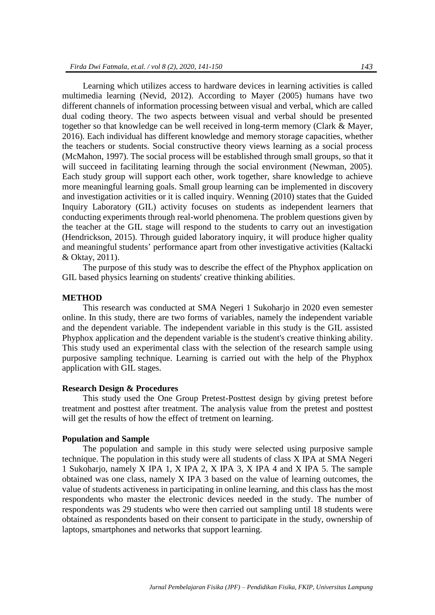Learning which utilizes access to hardware devices in learning activities is called multimedia learning (Nevid, 2012). According to Mayer (2005) humans have two different channels of information processing between visual and verbal, which are called dual coding theory. The two aspects between visual and verbal should be presented together so that knowledge can be well received in long-term memory (Clark & Mayer, 2016). Each individual has different knowledge and memory storage capacities, whether the teachers or students. Social constructive theory views learning as a social process (McMahon, 1997). The social process will be established through small groups, so that it will succeed in facilitating learning through the social environment (Newman, 2005). Each study group will support each other, work together, share knowledge to achieve more meaningful learning goals. Small group learning can be implemented in discovery and investigation activities or it is called inquiry. Wenning (2010) states that the Guided Inquiry Laboratory (GIL) activity focuses on students as independent learners that conducting experiments through real-world phenomena. The problem questions given by the teacher at the GIL stage will respond to the students to carry out an investigation (Hendrickson, 2015). Through guided laboratory inquiry, it will produce higher quality and meaningful students' performance apart from other investigative activities (Kaltacki & Oktay, 2011).

The purpose of this study was to describe the effect of the Phyphox application on GIL based physics learning on students' creative thinking abilities.

#### **METHOD**

This research was conducted at SMA Negeri 1 Sukoharjo in 2020 even semester online. In this study, there are two forms of variables, namely the independent variable and the dependent variable. The independent variable in this study is the GIL assisted Phyphox application and the dependent variable is the student's creative thinking ability. This study used an experimental class with the selection of the research sample using purposive sampling technique. Learning is carried out with the help of the Phyphox application with GIL stages.

#### **Research Design & Procedures**

This study used the One Group Pretest-Posttest design by giving pretest before treatment and posttest after treatment. The analysis value from the pretest and posttest will get the results of how the effect of tretment on learning.

#### **Population and Sample**

The population and sample in this study were selected using purposive sample technique. The population in this study were all students of class X IPA at SMA Negeri 1 Sukoharjo, namely X IPA 1, X IPA 2, X IPA 3, X IPA 4 and X IPA 5. The sample obtained was one class, namely X IPA 3 based on the value of learning outcomes, the value of students activeness in participating in online learning, and this class has the most respondents who master the electronic devices needed in the study. The number of respondents was 29 students who were then carried out sampling until 18 students were obtained as respondents based on their consent to participate in the study, ownership of laptops, smartphones and networks that support learning.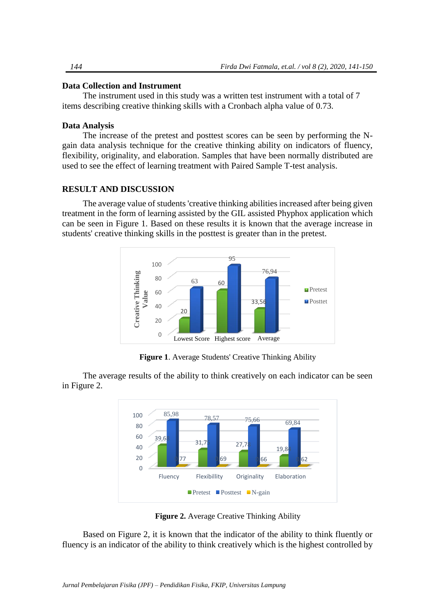## **Data Collection and Instrument**

The instrument used in this study was a written test instrument with a total of 7 items describing creative thinking skills with a Cronbach alpha value of 0.73.

## **Data Analysis**

The increase of the pretest and posttest scores can be seen by performing the Ngain data analysis technique for the creative thinking ability on indicators of fluency, flexibility, originality, and elaboration. Samples that have been normally distributed are used to see the effect of learning treatment with Paired Sample T-test analysis.

## **RESULT AND DISCUSSION**

The average value of students 'creative thinking abilities increased after being given treatment in the form of learning assisted by the GIL assisted Phyphox application which can be seen in Figure 1. Based on these results it is known that the average increase in students' creative thinking skills in the posttest is greater than in the pretest.



**Figure 1**. Average Students' Creative Thinking Ability

The average results of the ability to think creatively on each indicator can be seen in Figure 2.



**Figure 2.** Average Creative Thinking Ability

Based on Figure 2, it is known that the indicator of the ability to think fluently or fluency is an indicator of the ability to think creatively which is the highest controlled by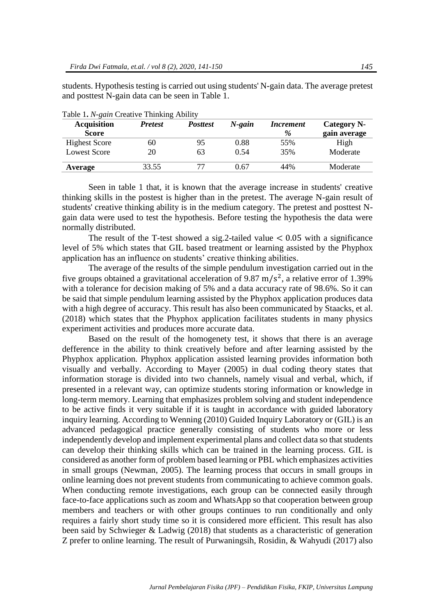students. Hypothesis testing is carried out using students' N-gain data. The average pretest and posttest N-gain data can be seen in Table 1.

| <b>Acquisition</b>   | $\overline{\phantom{0}}$<br><b>Pretest</b> | <b>Posttest</b> | $N$ -gain | <i>Increment</i> | Category N-  |
|----------------------|--------------------------------------------|-----------------|-----------|------------------|--------------|
| <b>Score</b>         |                                            |                 |           | %                | gain average |
| <b>Highest Score</b> | 60                                         | 95              | 0.88      | 55%              | High         |
| <b>Lowest Score</b>  | 20                                         | 63              | 0.54      | 35%              | Moderate     |
| Average              | 33.55                                      |                 | 0.67      | 44%              | Moderate     |

Table 1**.** *N-gain* Creative Thinking Ability

Seen in table 1 that, it is known that the average increase in students' creative thinking skills in the postest is higher than in the pretest. The average N-gain result of students' creative thinking ability is in the medium category. The pretest and posttest Ngain data were used to test the hypothesis. Before testing the hypothesis the data were normally distributed.

The result of the T-test showed a sig.2-tailed value  $< 0.05$  with a significance level of 5% which states that GIL based treatment or learning assisted by the Phyphox application has an influence on students' creative thinking abilities.

The average of the results of the simple pendulum investigation carried out in the five groups obtained a gravitational acceleration of 9.87 m/s<sup>2</sup>, a relative error of 1.39% with a tolerance for decision making of 5% and a data accuracy rate of 98.6%. So it can be said that simple pendulum learning assisted by the Phyphox application produces data with a high degree of accuracy. This result has also been communicated by Staacks, et al. (2018) which states that the Phyphox application facilitates students in many physics experiment activities and produces more accurate data.

Based on the result of the homogenety test, it shows that there is an average defference in the ability to think creatively before and after learning assisted by the Phyphox application. Phyphox application assisted learning provides information both visually and verbally. According to Mayer (2005) in dual coding theory states that information storage is divided into two channels, namely visual and verbal, which, if presented in a relevant way, can optimize students storing information or knowledge in long-term memory. Learning that emphasizes problem solving and student independence to be active finds it very suitable if it is taught in accordance with guided laboratory inquiry learning. According to Wenning (2010) Guided Inquiry Laboratory or (GIL) is an advanced pedagogical practice generally consisting of students who more or less independently develop and implement experimental plans and collect data so that students can develop their thinking skills which can be trained in the learning process. GIL is considered as another form of problem based learning or PBL which emphasizes activities in small groups (Newman, 2005). The learning process that occurs in small groups in online learning does not prevent students from communicating to achieve common goals. When conducting remote investigations, each group can be connected easily through face-to-face applications such as zoom and WhatsApp so that cooperation between group members and teachers or with other groups continues to run conditionally and only requires a fairly short study time so it is considered more efficient. This result has also been said by Schwieger & Ladwig (2018) that students as a characteristic of generation Z prefer to online learning. The result of Purwaningsih, Rosidin, & Wahyudi (2017) also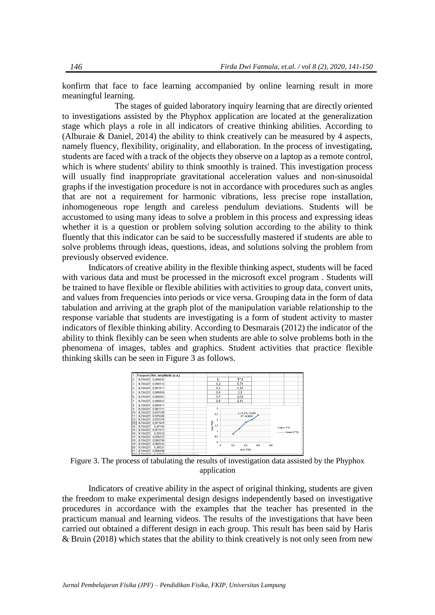konfirm that face to face learning accompanied by online learning result in more meaningful learning.

The stages of guided laboratory inquiry learning that are directly oriented to investigations assisted by the Phyphox application are located at the generalization stage which plays a role in all indicators of creative thinking abilities. According to (Alburaie & Daniel, 2014) the ability to think creatively can be measured by 4 aspects, namely fluency, flexibility, originality, and ellaboration. In the process of investigating, students are faced with a track of the objects they observe on a laptop as a remote control, which is where students' ability to think smoothly is trained. This investigation process will usually find inappropriate gravitational acceleration values and non-sinusoidal graphs if the investigation procedure is not in accordance with procedures such as angles that are not a requirement for harmonic vibrations, less precise rope installation, inhomogeneous rope length and careless pendulum deviations. Students will be accustomed to using many ideas to solve a problem in this process and expressing ideas whether it is a question or problem solving solution according to the ability to think fluently that this indicator can be said to be successfully mastered if students are able to solve problems through ideas, questions, ideas, and solutions solving the problem from previously observed evidence.

Indicators of creative ability in the flexible thinking aspect, students will be faced with various data and must be processed in the microsoft excel program . Students will be trained to have flexible or flexible abilities with activities to group data, convert units, and values from frequencies into periods or vice versa. Grouping data in the form of data tabulation and arriving at the graph plot of the manipulation variable relationship to the response variable that students are investigating is a form of student activity to master indicators of flexible thinking ability. According to Desmarais (2012) the indicator of the ability to think flexibly can be seen when students are able to solve problems both in the phenomena of images, tables and graphics. Student activities that practice flexible thinking skills can be seen in Figure 3 as follows.



Figure 3. The process of tabulating the results of investigation data assisted by the Phyphox application

Indicators of creative ability in the aspect of original thinking, students are given the freedom to make experimental design designs independently based on investigative procedures in accordance with the examples that the teacher has presented in the practicum manual and learning videos. The results of the investigations that have been carried out obtained a different design in each group. This result has been said by Haris & Bruin (2018) which states that the ability to think creatively is not only seen from new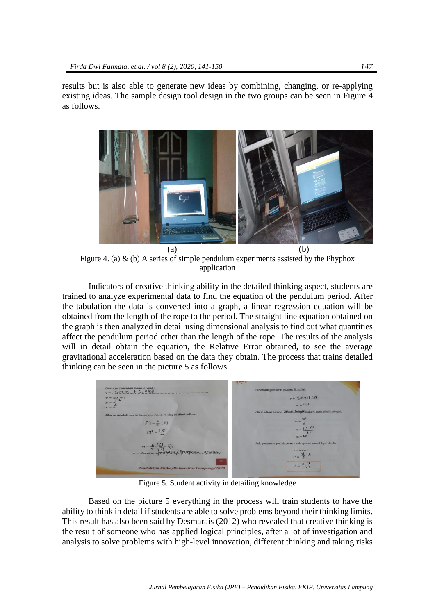results but is also able to generate new ideas by combining, changing, or re-applying existing ideas. The sample design tool design in the two groups can be seen in Figure 4 as follows.



Figure 4. (a)  $\&$  (b) A series of simple pendulum experiments assisted by the Phyphox application

Indicators of creative thinking ability in the detailed thinking aspect, students are trained to analyze experimental data to find the equation of the pendulum period. After the tabulation the data is converted into a graph, a linear regression equation will be obtained from the length of the rope to the period. The straight line equation obtained on the graph is then analyzed in detail using dimensional analysis to find out what quantities affect the pendulum period other than the length of the rope. The results of the analysis will in detail obtain the equation, the Relative Error obtained, to see the average gravitational acceleration based on the data they obtain. The process that trains detailed thinking can be seen in the picture 5 as follows.

| (tulis persamaan pada grafik)<br>$y = 9.02 \times 10.0481$                                                                          | Persamaan garis lurus pada grafik adalah:                              |
|-------------------------------------------------------------------------------------------------------------------------------------|------------------------------------------------------------------------|
| $y = mx + c$                                                                                                                        | $y = 4.02 \times 10.0481$                                              |
| $y = \frac{1}{2}$<br>$x = \frac{\mu}{2}$                                                                                            | $m = 4.01$                                                             |
| Jika m adalah suatu besaran, maka m dapat dimisalkan:                                                                               | Jika m adalah besaran dimensi. Perreplin maka m dapat ditulis sebagai. |
|                                                                                                                                     | $m = \frac{4\pi^2}{g}$                                                 |
| $\begin{aligned} [\mathfrak{X}^*_{\cdot}] &= \frac{1}{m} \; [\cdot k] \\ [\mathfrak{X}] &= \frac{[\cdot k]}{m} \end{aligned}$       | $m = \frac{4 (5.19)^2}{9.8}$<br>$m = 4.0$                              |
|                                                                                                                                     | Jadi, persamaan periode getaran pada ayunan bandul dapat ditulis:      |
| $m = \frac{L}{T^{L}} \frac{[L]}{[T]} \frac{m}{S^{L}}$<br>$m = Besaran. \text{ Percepatan.} / \text{Percepatan.} \text{ gravitasi.}$ | $y = mx + c$<br>$T^2 = \frac{4\pi^2}{3}$ .                             |
|                                                                                                                                     | $T = \frac{2\pi}{4}$                                                   |
| Pendidikan Fisika/Universitas Lampung/2020                                                                                          |                                                                        |

Figure 5. Student activity in detailing knowledge

Based on the picture 5 everything in the process will train students to have the ability to think in detail if students are able to solve problems beyond their thinking limits. This result has also been said by Desmarais (2012) who revealed that creative thinking is the result of someone who has applied logical principles, after a lot of investigation and analysis to solve problems with high-level innovation, different thinking and taking risks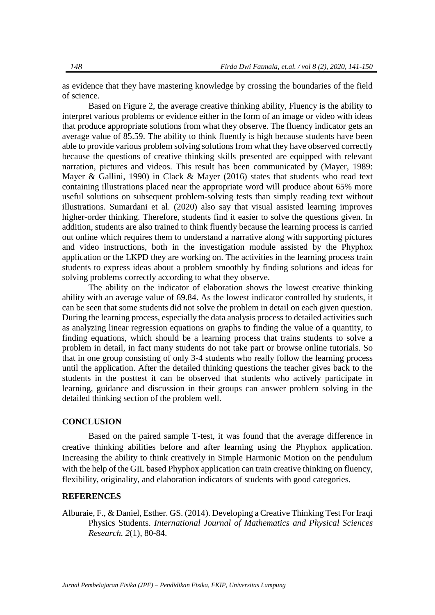as evidence that they have mastering knowledge by crossing the boundaries of the field of science.

Based on Figure 2, the average creative thinking ability, Fluency is the ability to interpret various problems or evidence either in the form of an image or video with ideas that produce appropriate solutions from what they observe. The fluency indicator gets an average value of 85.59. The ability to think fluently is high because students have been able to provide various problem solving solutions from what they have observed correctly because the questions of creative thinking skills presented are equipped with relevant narration, pictures and videos. This result has been communicated by (Mayer, 1989: Mayer & Gallini, 1990) in Clack & Mayer (2016) states that students who read text containing illustrations placed near the appropriate word will produce about 65% more useful solutions on subsequent problem-solving tests than simply reading text without illustrations. Sumardani et al. (2020) also say that visual assisted learning improves higher-order thinking. Therefore, students find it easier to solve the questions given. In addition, students are also trained to think fluently because the learning process is carried out online which requires them to understand a narrative along with supporting pictures and video instructions, both in the investigation module assisted by the Phyphox application or the LKPD they are working on. The activities in the learning process train students to express ideas about a problem smoothly by finding solutions and ideas for solving problems correctly according to what they observe.

The ability on the indicator of elaboration shows the lowest creative thinking ability with an average value of 69.84. As the lowest indicator controlled by students, it can be seen that some students did not solve the problem in detail on each given question. During the learning process, especially the data analysis process to detailed activities such as analyzing linear regression equations on graphs to finding the value of a quantity, to finding equations, which should be a learning process that trains students to solve a problem in detail, in fact many students do not take part or browse online tutorials. So that in one group consisting of only 3-4 students who really follow the learning process until the application. After the detailed thinking questions the teacher gives back to the students in the posttest it can be observed that students who actively participate in learning, guidance and discussion in their groups can answer problem solving in the detailed thinking section of the problem well.

## **CONCLUSION**

Based on the paired sample T-test, it was found that the average difference in creative thinking abilities before and after learning using the Phyphox application. Increasing the ability to think creatively in Simple Harmonic Motion on the pendulum with the help of the GIL based Phyphox application can train creative thinking on fluency, flexibility, originality, and elaboration indicators of students with good categories.

### **REFERENCES**

Alburaie, F., & Daniel, Esther. GS. (2014). Developing a Creative Thinking Test For Iraqi Physics Students. *International Journal of Mathematics and Physical Sciences Research. 2*(1), 80-84.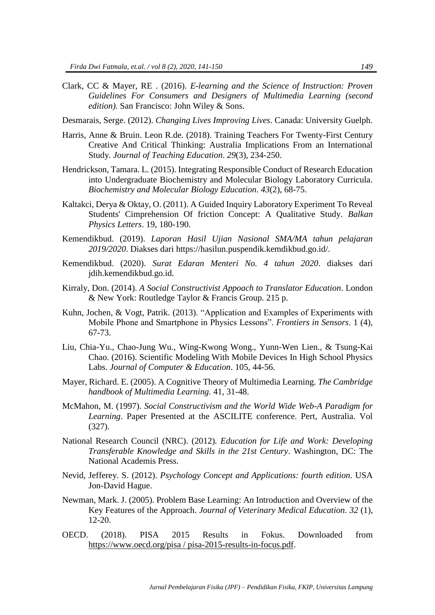- Clark, CC & Mayer, RE . (2016). *E-learning and the Science of Instruction: Proven Guidelines For Consumers and Designers of Multimedia Learning (second edition).* San Francisco: John Wiley & Sons.
- Desmarais, Serge. (2012). *Changing Lives Improving Lives*. Canada: University Guelph.
- Harris, Anne & Bruin. Leon R.de. (2018). Training Teachers For Twenty-First Century Creative And Critical Thinking: Australia Implications From an International Study*. Journal of Teaching Education*. *29*(3), 234-250.
- Hendrickson, Tamara. L. (2015). Integrating Responsible Conduct of Research Education into Undergraduate Biochemistry and Molecular Biology Laboratory Curricula. *Biochemistry and Molecular Biology Education*. *43*(2), 68-75.
- Kaltakci, Derya & Oktay, O. (2011). A Guided Inquiry Laboratory Experiment To Reveal Students' Cimprehension Of friction Concept: A Qualitative Study. *Balkan Physics Letters*. 19, 180-190.
- Kemendikbud. (2019). *Laporan Hasil Ujian Nasional SMA/MA tahun pelajaran 2019/2020*. Diakses dari [https://hasilun.puspendik.kemdikbud.go.id/.](https://hasilun.puspendik.kemdikbud.go.id/)
- Kemendikbud. (2020). *Surat Edaran Menteri No. 4 tahun 2020*. diakses dari jdih.kemendikbud.go.id.
- Kirraly, Don. (2014). *A Social Constructivist Appoach to Translator Education*. London & New York: Routledge Taylor & Francis Group. 215 p.
- Kuhn, Jochen, & Vogt, Patrik. (2013). "Application and Examples of Experiments with Mobile Phone and Smartphone in Physics Lessons". *Frontiers in Sensors*. 1 (4), 67-73.
- Liu, Chia-Yu., Chao-Jung Wu., Wing-Kwong Wong., Yunn-Wen Lien., & Tsung-Kai Chao. (2016). Scientific Modeling With Mobile Devices In High School Physics Labs. *Journal of Computer & Education*. 105, 44-56.
- Mayer, Richard. E. (2005). A Cognitive Theory of Multimedia Learning. *The Cambridge handbook of Multimedia Learning.* 41, 31-48.
- McMahon, M. (1997). *Social Constructivism and the World Wide Web-A Paradigm for Learning*. Paper Presented at the ASCILITE conference. Pert, Australia. Vol (327).
- National Research Council (NRC). (2012)*. Education for Life and Work: Developing Transferable Knowledge and Skills in the 21st Century*. Washington, DC: The National Academis Press.
- Nevid, Jefferey. S. (2012). *Psychology Concept and Applications: fourth edition*. USA Jon-David Hague.
- Newman, Mark. J. (2005). Problem Base Learning: An Introduction and Overview of the Key Features of the Approach. *Journal of Veterinary Medical Education. 32* (1), 12-20.
- OECD. (2018). PISA 2015 Results in Fokus. Downloaded from [https://www.oecd.org/pisa / pisa-2015-results-in-focus.pdf.](https://www.oecd.org/pisa%20/%20pisa-2015-results-in-focus.pdf)